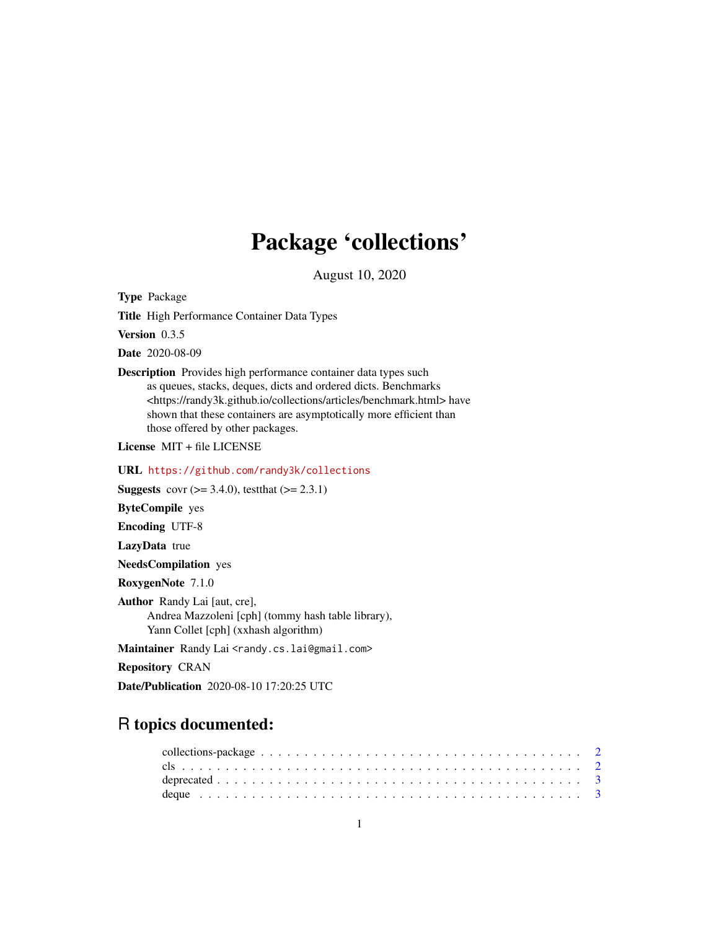## Package 'collections'

August 10, 2020

Type Package

Title High Performance Container Data Types

Version 0.3.5

Date 2020-08-09

Description Provides high performance container data types such as queues, stacks, deques, dicts and ordered dicts. Benchmarks <https://randy3k.github.io/collections/articles/benchmark.html> have shown that these containers are asymptotically more efficient than those offered by other packages.

License MIT + file LICENSE

URL <https://github.com/randy3k/collections>

**Suggests** covr  $(>= 3.4.0)$ , test that  $(>= 2.3.1)$ 

ByteCompile yes

Encoding UTF-8

LazyData true

NeedsCompilation yes

RoxygenNote 7.1.0

Author Randy Lai [aut, cre], Andrea Mazzoleni [cph] (tommy hash table library), Yann Collet [cph] (xxhash algorithm)

Maintainer Randy Lai <randy.cs.lai@gmail.com>

Repository CRAN

Date/Publication 2020-08-10 17:20:25 UTC

### R topics documented: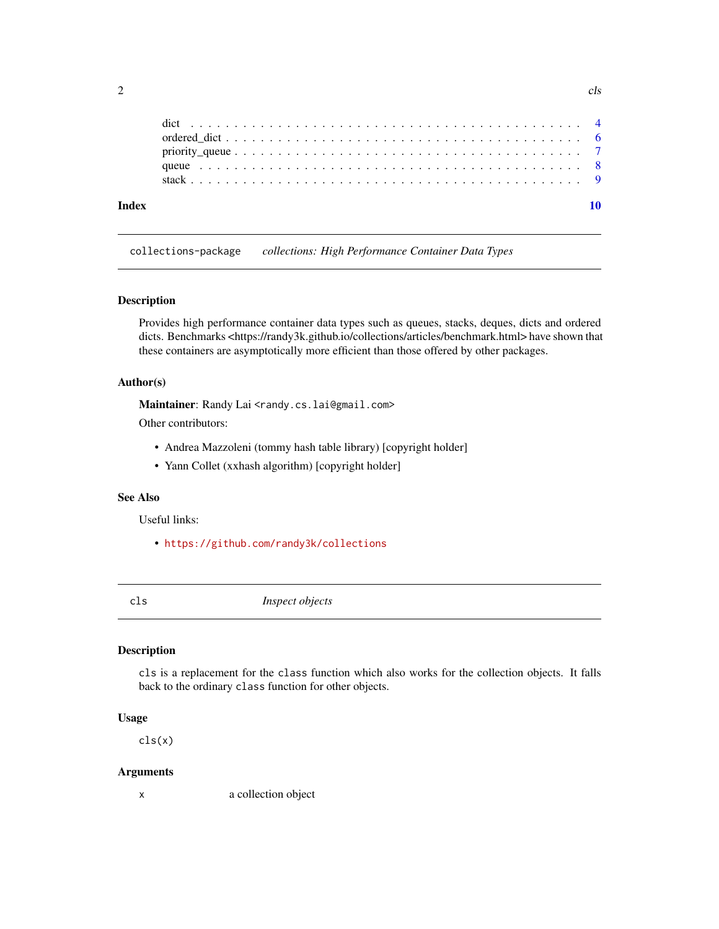<span id="page-1-0"></span>

| Index |  |  |  |  |  |  |  |  |  |  |  |  |  |  |  |  |  |  |  |
|-------|--|--|--|--|--|--|--|--|--|--|--|--|--|--|--|--|--|--|--|
|       |  |  |  |  |  |  |  |  |  |  |  |  |  |  |  |  |  |  |  |
|       |  |  |  |  |  |  |  |  |  |  |  |  |  |  |  |  |  |  |  |
|       |  |  |  |  |  |  |  |  |  |  |  |  |  |  |  |  |  |  |  |
|       |  |  |  |  |  |  |  |  |  |  |  |  |  |  |  |  |  |  |  |
|       |  |  |  |  |  |  |  |  |  |  |  |  |  |  |  |  |  |  |  |

collections-package *collections: High Performance Container Data Types*

#### Description

Provides high performance container data types such as queues, stacks, deques, dicts and ordered dicts. Benchmarks <https://randy3k.github.io/collections/articles/benchmark.html> have shown that these containers are asymptotically more efficient than those offered by other packages.

#### Author(s)

Maintainer: Randy Lai <randy.cs.lai@gmail.com>

Other contributors:

- Andrea Mazzoleni (tommy hash table library) [copyright holder]
- Yann Collet (xxhash algorithm) [copyright holder]

#### See Also

Useful links:

- <https://github.com/randy3k/collections>
- 

cls *Inspect objects*

#### Description

cls is a replacement for the class function which also works for the collection objects. It falls back to the ordinary class function for other objects.

#### Usage

cls(x)

#### Arguments

x a collection object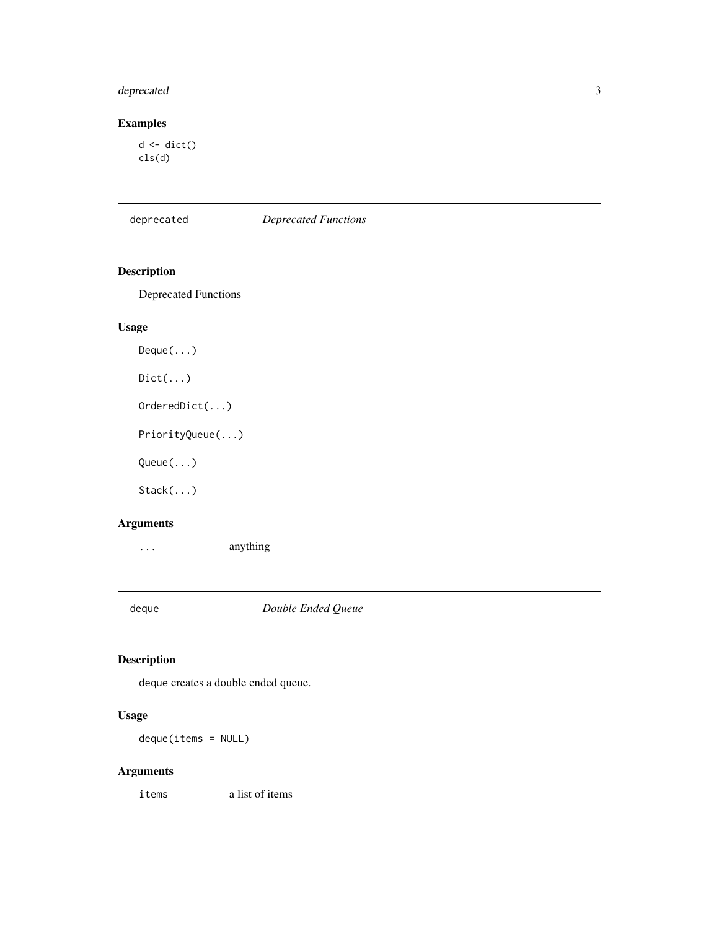#### <span id="page-2-0"></span>deprecated 3

#### Examples

 $d \leftarrow \text{dict}()$ cls(d)

deprecated *Deprecated Functions*

#### Description

Deprecated Functions

#### Usage

Deque(...)  $Dict(...)$ OrderedDict(...) PriorityQueue(...) Queue(...) Stack(...)

#### Arguments

... anything

<span id="page-2-1"></span>deque *Double Ended Queue*

#### Description

deque creates a double ended queue.

#### Usage

deque(items = NULL)

#### Arguments

items a list of items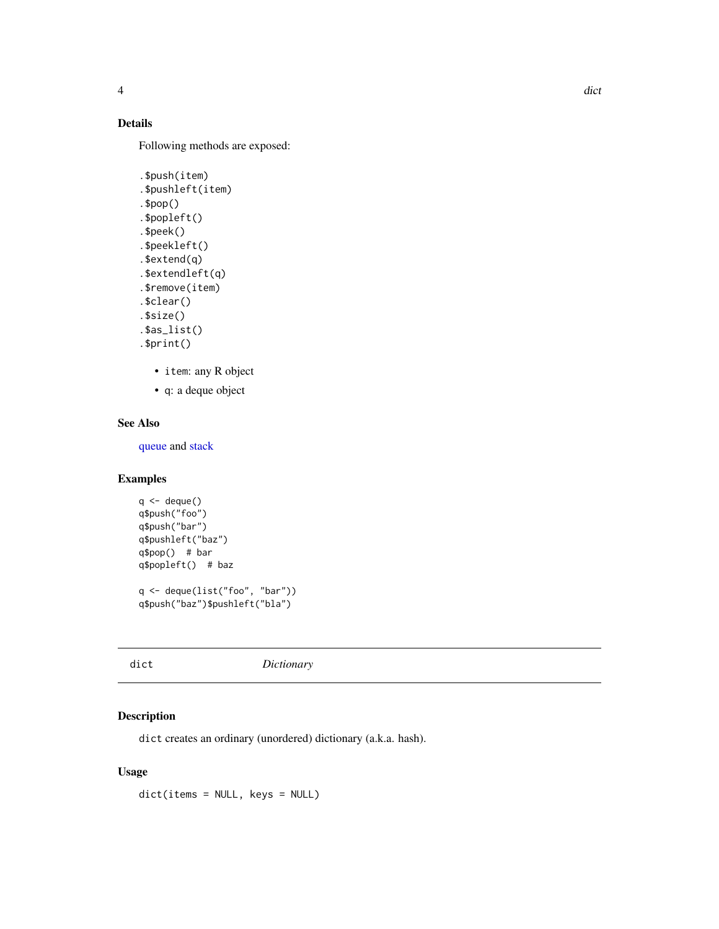#### <span id="page-3-0"></span>Details

Following methods are exposed:

```
.$push(item)
.$pushleft(item)
.$pop()
.$popleft()
.$peek()
.$peekleft()
.$extend(q)
.$extendleft(q)
.$remove(item)
.$clear()
.$size()
.$as_list()
.$print()
```
- item: any R object
- q: a deque object

#### See Also

[queue](#page-7-1) and [stack](#page-8-1)

#### Examples

```
q \leftarrow \text{deque}()q$push("foo")
q$push("bar")
q$pushleft("baz")
q$pop() # bar
q$popleft() # baz
q <- deque(list("foo", "bar"))
```
q\$push("baz")\$pushleft("bla")

<span id="page-3-1"></span>dict *Dictionary*

#### Description

dict creates an ordinary (unordered) dictionary (a.k.a. hash).

#### Usage

dict(items = NULL, keys = NULL)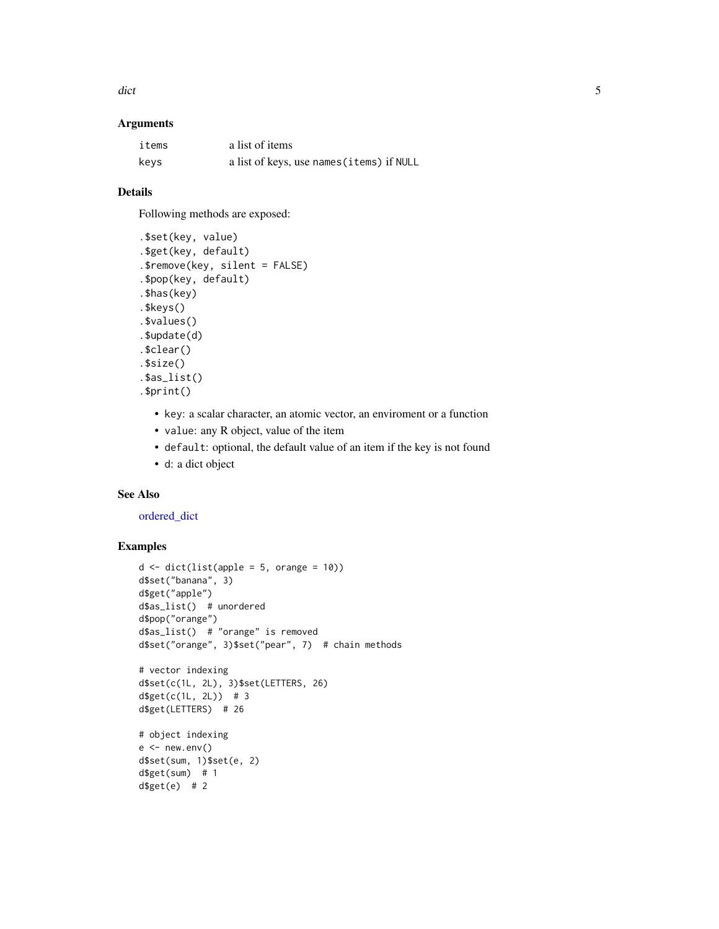<span id="page-4-0"></span>dict 5 and 5 and 5 and 5 and 5 and 5 and 5 and 5 and 5 and 5 and 5 and 5 and 5 and 5 and 5 and 5 and 5 and 5 and 5 and 5 and 5 and 5 and 5 and 5 and 5 and 5 and 5 and 5 and 5 and 5 and 5 and 5 and 5 and 5 and 5 and 5 and 5

#### Arguments

| items | a list of items                           |
|-------|-------------------------------------------|
| keys  | a list of keys, use names (items) if NULL |

#### Details

Following methods are exposed:

```
.$set(key, value)
.$get(key, default)
.$remove(key, silent = FALSE)
.$pop(key, default)
.$has(key)
.$keys()
.$values()
.$update(d)
.$clear()
.$size()
.$as_list()
.$print()
```
- key: a scalar character, an atomic vector, an enviroment or a function
- value: any R object, value of the item
- default: optional, the default value of an item if the key is not found
- d: a dict object

#### See Also

[ordered\\_dict](#page-5-1)

```
d \leftarrow dict(list(apple = 5, orange = 10)d$set("banana", 3)
d$get("apple")
d$as_list() # unordered
d$pop("orange")
d$as_list() # "orange" is removed
d$set("orange", 3)$set("pear", 7) # chain methods
# vector indexing
d$set(c(1L, 2L), 3)$set(LETTERS, 26)
d$get(c(1L, 2L)) # 3
d$get(LETTERS) # 26
# object indexing
e < - new.env()
d$set(sum, 1)$set(e, 2)
d$get(sum) # 1
d$get(e) # 2
```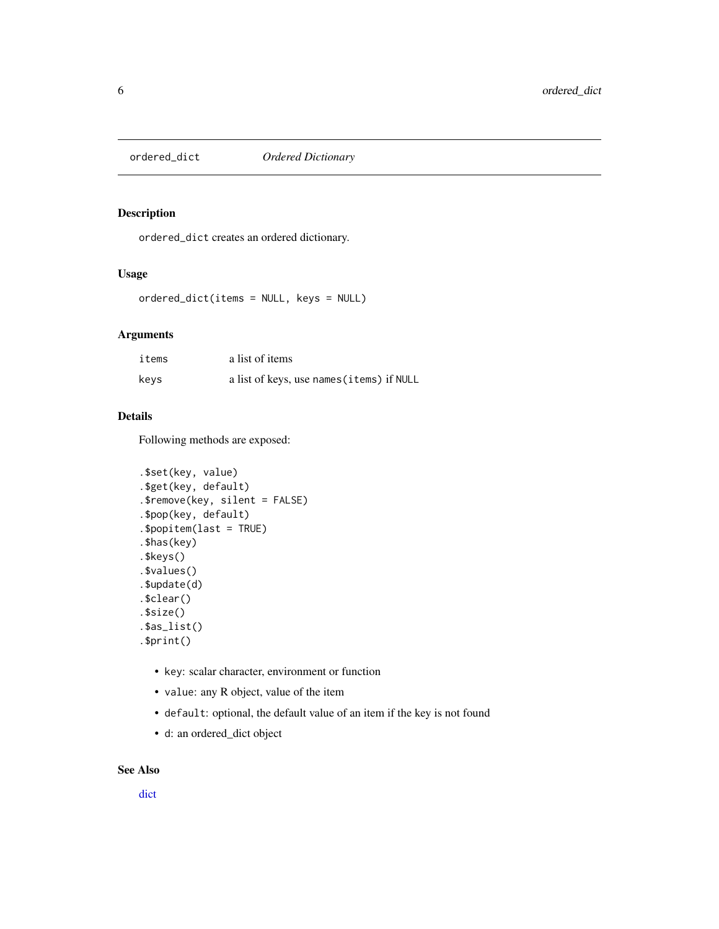<span id="page-5-1"></span><span id="page-5-0"></span>

#### Description

ordered\_dict creates an ordered dictionary.

#### Usage

```
ordered_dict(items = NULL, keys = NULL)
```
#### Arguments

| items | a list of items                           |
|-------|-------------------------------------------|
| kevs  | a list of keys, use names (items) if NULL |

#### Details

Following methods are exposed:

```
.$set(key, value)
.$get(key, default)
.$remove(key, silent = FALSE)
.$pop(key, default)
.$popitem(last = TRUE)
.$has(key)
.$keys()
.$values()
.$update(d)
.$clear()
.$size()
.$as_list()
.$print()
```
- key: scalar character, environment or function
- value: any R object, value of the item
- default: optional, the default value of an item if the key is not found
- d: an ordered\_dict object

#### See Also

[dict](#page-3-1)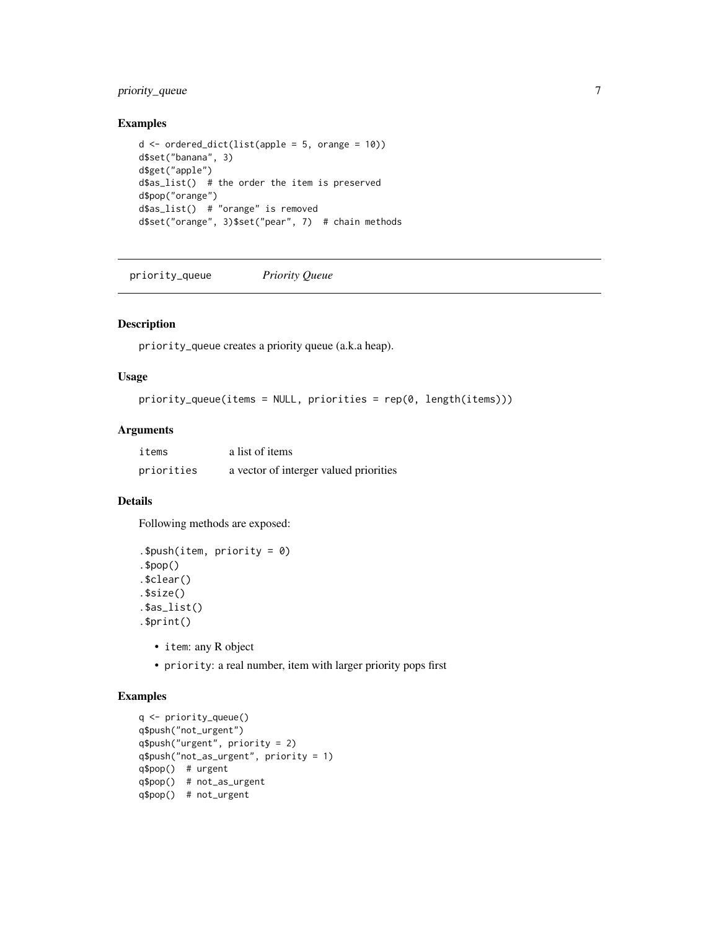#### <span id="page-6-0"></span>priority\_queue 7

#### Examples

```
d \le ordered_dict(list(apple = 5, orange = 10))
d$set("banana", 3)
d$get("apple")
d$as_list() # the order the item is preserved
d$pop("orange")
d$as_list() # "orange" is removed
d$set("orange", 3)$set("pear", 7) # chain methods
```
priority\_queue *Priority Queue*

#### Description

priority\_queue creates a priority queue (a.k.a heap).

#### Usage

```
priority_queue(items = NULL, priorities = rep(0, length(items)))
```
#### Arguments

| items      | a list of items                        |
|------------|----------------------------------------|
| priorities | a vector of interger valued priorities |

#### Details

Following methods are exposed:

```
.$push(item, priority = 0)
.$pop()
.$clear()
.$size()
.$as_list()
.$print()
```
- item: any R object
- priority: a real number, item with larger priority pops first

```
q <- priority_queue()
q$push("not_urgent")
q$push("urgent", priority = 2)
q$push("not_as_urgent", priority = 1)
q$pop() # urgent
q$pop() # not_as_urgent
q$pop() # not_urgent
```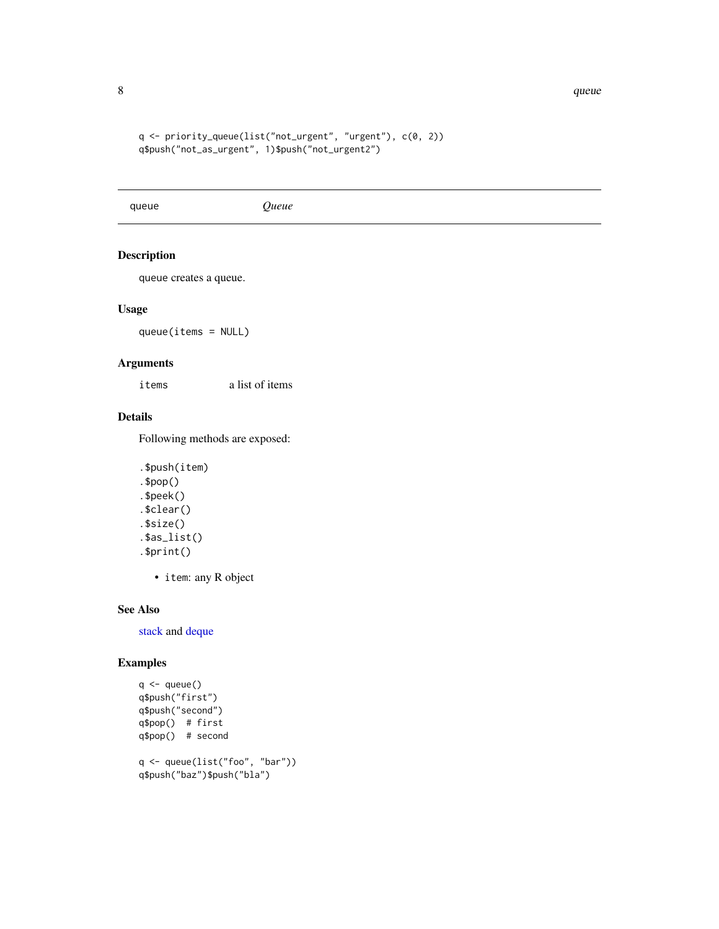```
q <- priority_queue(list("not_urgent", "urgent"), c(0, 2))
q$push("not_as_urgent", 1)$push("not_urgent2")
```
<span id="page-7-1"></span>queue *Queue*

#### Description

queue creates a queue.

#### Usage

queue(items = NULL)

#### Arguments

items a list of items

#### Details

Following methods are exposed:

```
.$push(item)
.$pop()
.$peek()
.$clear()
.$size()
.$as_list()
.$print()
```
• item: any R object

#### See Also

[stack](#page-8-1) and [deque](#page-2-1)

```
q \leftarrow queue()
q$push("first")
q$push("second")
q$pop() # first
q$pop() # second
q <- queue(list("foo", "bar"))
q$push("baz")$push("bla")
```
<span id="page-7-0"></span>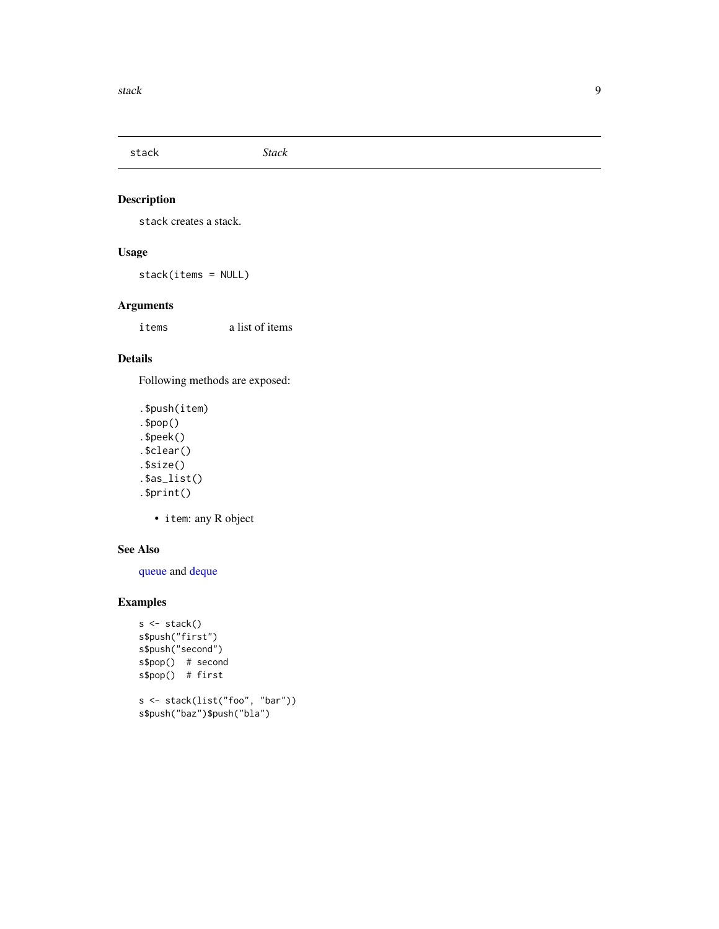<span id="page-8-1"></span><span id="page-8-0"></span>stack *Stack*

#### Description

stack creates a stack.

#### Usage

stack(items = NULL)

#### Arguments

items a list of items

#### Details

Following methods are exposed:

```
.$push(item)
.$pop()
.$peek()
.$clear()
.$size()
.$as_list()
.$print()
```
• item: any R object

#### See Also

[queue](#page-7-1) and [deque](#page-2-1)

```
s <- stack()
s$push("first")
s$push("second")
s$pop() # second
s$pop() # first
s <- stack(list("foo", "bar"))
s$push("baz")$push("bla")
```